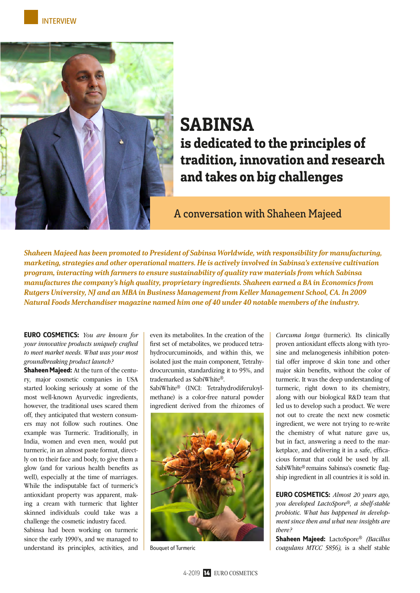

# SABINSA is dedicated to the principles of tradition, innovation and research and takes on big challenges

A conversation with Shaheen Majeed

Shaheen Majeed has been promoted to President of Sabinsa Worldwide, with responsibility for manufacturing, marketing, strategies and other operational matters. He is actively involved in Sabinsa's extensive cultivation program, interacting with farmers to ensure sustainability of quality raw materials from which Sabinsa manufactures the company's high quality, proprietary ingredients. Shaheen earned a BA in Economics from Rutgers University, NJ and an MBA in Business Management from Keller Management School, CA. In 2009 Natural Foods Merchandiser magazine named him one of 40 under 40 notable members of the industry.

EURO COSMETICS: *You are known for your innovative products uniquely crafted to meet market needs. What was your most groundbreaking product launch?*

Shaheen Majeed: At the turn of the century, major cosmetic companies in USA started looking seriously at some of the most well-known Ayurvedic ingredients, however, the traditional uses scared them off, they anticipated that western consumers may not follow such routines. One example was Turmeric. Traditionally, in India, women and even men, would put turmeric, in an almost paste format, directly on to their face and body, to give them a glow (and for various health benefits as well), especially at the time of marriages. While the indisputable fact of turmeric's antioxidant property was apparent, making a cream with turmeric that lighter skinned individuals could take was a challenge the cosmetic industry faced.

Sabinsa had been working on turmeric since the early 1990's, and we managed to understand its principles, activities, and even its metabolites. In the creation of the first set of metabolites, we produced tetrahydrocurcuminoids, and within this, we isolated just the main component, Tetrahydrocurcumin, standardizing it to 95%, and trademarked as SabiWhite®.

SabiWhite® (INCI: Tetrahydrodiferuloylmethane) is a color-free natural powder ingredient derived from the rhizomes of



*Curcuma longa* (turmeric). Its clinically proven antioxidant effects along with tyrosine and melanogenesis inhibition potential offer improve d skin tone and other major skin benefits, without the color of turmeric. It was the deep understanding of turmeric, right down to its chemistry, along with our biological R&D team that led us to develop such a product. We were not out to create the next new cosmetic ingredient, we were not trying to re-write the chemistry of what nature gave us, but in fact, answering a need to the marketplace, and delivering it in a safe, efficacious format that could be used by all. SabiWhite® remains Sabinsa's cosmetic flagship ingredient in all countries it is sold in.

EURO COSMETICS: *Almost 20 years ago, you developed LactoSpore®, a shelf-stable probiotic. What has happened in development since then and what new insights are there?* 

Shaheen Majeed: LactoSpore® *(Bacillus*  Bouquet of Turmeric *coagulans MTCC 5856),* is a shelf stable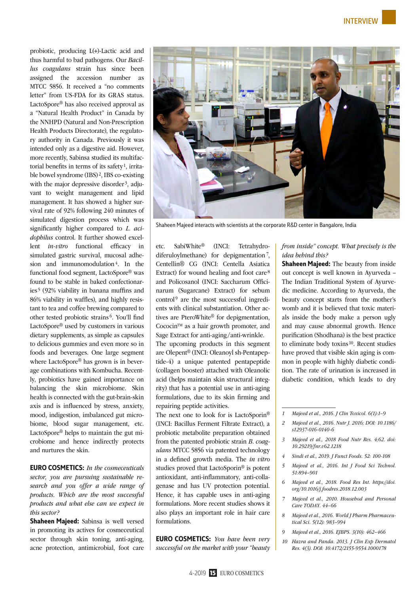probiotic, producing L(+)-Lactic acid and thus harmful to bad pathogens. Our *Bacillus coagulans* strain has since been assigned the accession number as MTCC 5856. It received a "no comments letter" from US-FDA for its GRAS status. LactoSpore® has also received approval as a "Natural Health Product" in Canada by the NNHPD (Natural and Non-Prescription Health Products Directorate), the regulatory authority in Canada. Previously it was intended only as a digestive aid. However, more recently, Sabinsa studied its multifactorial benefits in terms of its safety<sup>1</sup>, irritable bowel syndrome (IBS) 2, IBS co-existing with the major depressive disorder<sup>3</sup>, adjuvant to weight management and lipid management. It has showed a higher survival rate of 92% following 240 minutes of simulated digestion process which was significantly higher compared to *L. acidophilus* control. It further showed excellent *in-vitro* functional efficacy in simulated gastric survival, mucosal adhesion and immunomodulation<sup>4</sup>. In the functional food segment, LactoSpore® was found to be stable in baked confectionaries 5 (92% viability in banana muffins and 86% viability in waffles), and highly resistant to tea and coffee brewing compared to other tested probiotic strains 6. You'll find LactoSpore® used by customers in various dietary supplements, as simple as capsules to delicious gummies and even more so in foods and beverages. One large segment where LactoSpore® has grown is in beverage combinations with Kombucha. Recently, probiotics have gained importance on balancing the skin microbiome. Skin health is connected with the gut-brain-skin axis and is influenced by stress, anxiety, mood, indigestion, imbalanced gut microbiome, blood sugar management, etc. LactoSpore® helps to maintain the gut microbiome and hence indirectly protects and nurtures the skin.

EURO COSMETICS: *In the cosmeceuticals sector, you are pursuing sustainable research and you offer a wide range of products. Which are the most successful products and what else can we expect in this sector?* 

Shaheen Majeed: Sabinsa is well versed in promoting its actives for cosmeceutical sector through skin toning, anti-aging, acne protection, antimicrobial, foot care



Shaheen Majeed interacts with scientists at the corporate R&D center in Bangalore, India

etc. SabiWhite® (INCI: Tetrahydrodiferuloylmethane) for depigmentation 7, Centellin® CG (INCI: Centella Asiatica Extract) for wound healing and foot care<sup>8</sup> and Policosanol (INCI: Saccharum Officinarum (Sugarcane) Extract) for sebum control<sup>9</sup> are the most successful ingredients with clinical substantiation. Other actives are PteroWhite® for depigmentation, Cococin™ as a hair growth promoter, and Sage Extract for anti-aging/anti-wrinkle.

The upcoming products in this segment are Olepent® (INCI: Oleanoyl sh-Pentapeptide-4) a unique patented pentapeptide (collagen booster) attached with Oleanolic acid (helps maintain skin structural integrity) that has a potential use in anti-aging formulations, due to its skin firming and repairing peptide activities.

The next one to look for is LactoSporin® (INCI: Bacillus Ferment Filtrate Extract), a probiotic metabolite preparation obtained from the patented probiotic strain *B. coagulans* MTCC 5856 via patented technology in a defined growth media. The *in vitro* studies proved that LactoSporin® is potent antioxidant, anti-inflammatory, anti-collagenase and has UV protection potential. Hence, it has capable uses in anti-aging formulations. More recent studies shows it also plays an important role in hair care formulations.

EURO COSMETICS: *You have been very successful on the market with your "beauty*  *from inside" concept. What precisely is the idea behind this?* 

**Shaheen Majeed:** The beauty from inside out concept is well known in Ayurveda – The Indian Traditional System of Ayurvedic medicine. According to Ayurveda, the beauty concept starts from the mother's womb and it is believed that toxic materials inside the body make a person ugly and may cause abnormal growth. Hence purification (Shodhana) is the best practice to eliminate body toxins<sup>10</sup>. Recent studies have proved that visible skin aging is common in people with highly diabetic condition. The rate of urination is increased in diabetic condition, which leads to dry

- *2 Majeed et al., 2016. Nutr J. 2016; DOI: 10.1186/ s12937-016-0140-6*
- *3 Majeed et al., 2018 Food Nutr Res. 4;62. doi: 10.29219/fnr.v62.1218*
- *4 Sindi et al., 2019. J Funct Foods. 52: 100-108*
- *5 Majeed et al., 2016. Int J Food Sci Technol. 51:894–901*
- *6 Majeed et al., 2018. Food Res Int. https://doi. org/10.1016/j.foodres.2018.12.003*
- *7 Majeed et al., 2010. Househod and Personal Care TODAY. 44–66*
- *8 Majeed et al., 2016. World J Pharm Pharmaceutical Sci. 5(12): 983–994*
- *9 Majeed et al., 2016. EJBPS. 3(10): 462–466*
- *10 Hazra and Panda. 2013. J Clin Exp Dermatol Res. 4(3). DOI: 10.4172/2155-9554.1000178*

*<sup>1</sup> Majeed et al., 2016. J Clin Toxicol. 6(1):1–9*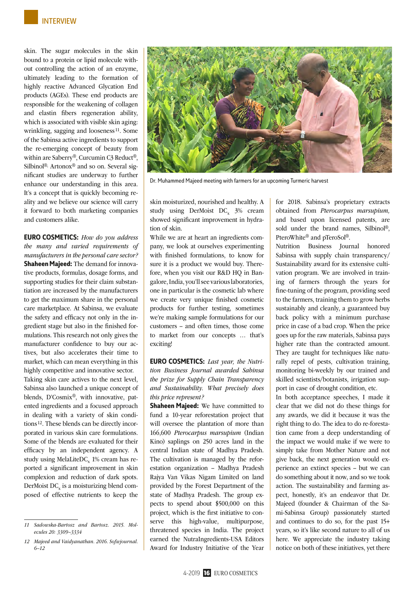skin. The sugar molecules in the skin bound to a protein or lipid molecule without controlling the action of an enzyme, ultimately leading to the formation of highly reactive Advanced Glycation End products (AGEs). These end products are responsible for the weakening of collagen and elastin fibers regeneration ability, which is associated with visible skin aging: wrinkling, sagging and looseness<sup>11</sup>. Some of the Sabinsa active ingredients to support the re-emerging concept of beauty from within are Saberry®, Curcumin C3 Reduct®, Silbinol®, Artonox® and so on. Several significant studies are underway to further enhance our understanding in this area. It's a concept that is quickly becoming reality and we believe our science will carry it forward to both marketing companies and customers alike.

EURO COSMETICS: *How do you address the many and varied requirements of manufacturers in the personal care sector?* Shaheen Majeed: The demand for innovative products, formulas, dosage forms, and supporting studies for their claim substantiation are increased by the manufacturers to get the maximum share in the personal care marketplace. At Sabinsa, we evaluate the safety and efficacy not only in the ingredient stage but also in the finished formulations. This research not only gives the manufacturer confidence to buy our actives, but also accelerates their time to market, which can mean everything in this highly competitive and innovative sector.

Taking skin care actives to the next level, Sabinsa also launched a unique concept of blends, D'Cosmix®, with innovative, patented ingredients and a focused approach in dealing with a variety of skin conditions12. These blends can be directly incorporated in various skin care formulations. Some of the blends are evaluated for their efficacy by an independent agency. A study using MelaLiteDC<sub>x</sub> 1% cream has reported a significant improvement in skin complexion and reduction of dark spots. DerMoist  $DC_x$  is a moisturizing blend composed of effective nutrients to keep the



Dr. Muhammed Majeed meeting with farmers for an upcoming Turmeric harvest

skin moisturized, nourished and healthy. A study using DerMoist  $DC_x$  3% cream showed significant improvement in hydration of skin.

While we are at heart an ingredients company, we look at ourselves experimenting with finished formulations, to know for sure it is a product we would buy. Therefore, when you visit our R&D HQ in Bangalore, India, you'll see various laboratories, one in particular is the cosmetic lab where we create very unique finished cosmetic products for further testing, sometimes we're making sample formulations for our customers – and often times, those come to market from our concepts … that's exciting!

EURO COSMETICS: *Last year, the Nutrition Business Journal awarded Sabinsa the prize for Supply Chain Transparency and Sustainability. What precisely does this price represent?* 

Shaheen Majeed: We have committed to fund a 10-year reforestation project that will oversee the plantation of more than 166,600 *Pterocarpus marsupium* (Indian Kino) saplings on 250 acres land in the central Indian state of Madhya Pradesh. The cultivation is managed by the reforestation organization – Madhya Pradesh Rajya Van Vikas Nigam Limited on land provided by the Forest Department of the state of Madhya Pradesh. The group expects to spend about \$500,000 on this project, which is the first initiative to conserve this high-value, multipurpose, threatened species in India. The project earned the NutraIngredients-USA Editors Award for Industry Initiative of the Year for 2018. Sabinsa's proprietary extracts obtained from *Pterocarpus marsupium,* and based upon licensed patents, are sold under the brand names, Silbinol®, PteroWhite® and pTeroSol®.

Nutrition Business Journal honored Sabinsa with supply chain transparency/ Sustainability award for its extensive cultivation program. We are involved in training of farmers through the years for fine-tuning of the program, providing seed to the farmers, training them to grow herbs sustainably and cleanly, a guaranteed buy back policy with a minimum purchase price in case of a bad crop. When the price goes up for the raw materials, Sabinsa pays higher rate than the contracted amount. They are taught for techniques like naturally repel of pests, cultivation training, monitoring bi-weekly by our trained and skilled scientists/botanists, irrigation support in case of drought condition, etc.

In both acceptance speeches, I made it clear that we did not do these things for any awards, we did it because it was the right thing to do. The idea to do re-forestation came from a deep understanding of the impact we would make if we were to simply take from Mother Nature and not give back, the next generation would experience an extinct species – but we can do something about it now, and so we took action. The sustainability and farming aspect, honestly, it's an endeavor that Dr. Majeed (founder & Chairman of the Sami-Sabinsa Group) passionately started and continues to do so, for the past 15+ years, so it's like second nature to all of us here. We appreciate the industry taking notice on both of these initiatives, yet there

*<sup>11</sup> Sadowska-Bartosz and Bartosz. 2015. Molecules 20: 3309–3334*

*<sup>12</sup> Majeed and Vaidyanathan. 2016. Sofwjournal. 6–12*